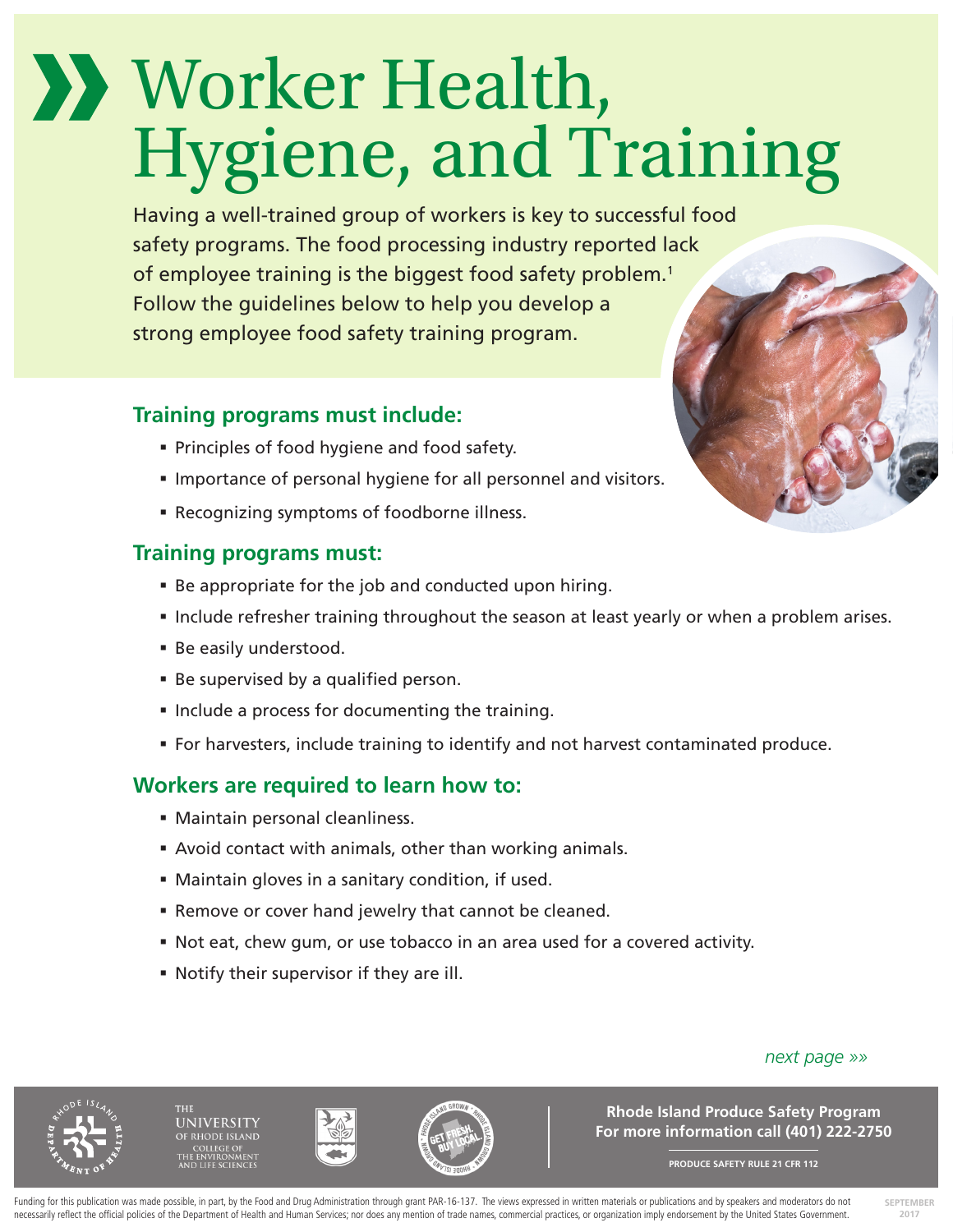# Worker Health, Hygiene, and Training

Having a well-trained group of workers is key to successful food safety programs. The food processing industry reported lack of employee training is the biggest food safety problem.<sup>1</sup> Follow the guidelines below to help you develop a strong employee food safety training program.

## **Training programs must include:**

- **Principles of food hygiene and food safety.**
- **Importance of personal hygiene for all personnel and visitors.**
- Recognizing symptoms of foodborne illness.

## **Training programs must:**

- Be appropriate for the job and conducted upon hiring.
- Include refresher training throughout the season at least yearly or when a problem arises.
- Be easily understood.
- Be supervised by a qualified person.
- **Include a process for documenting the training.**
- For harvesters, include training to identify and not harvest contaminated produce.

# **Workers are required to learn how to:**

- Maintain personal cleanliness.
- Avoid contact with animals, other than working animals.
- Maintain gloves in a sanitary condition, if used.
- Remove or cover hand jewelry that cannot be cleaned.
- Not eat, chew gum, or use tobacco in an area used for a covered activity.
- Notify their supervisor if they are ill.

*next page »»*





**Rhode Island Produce Safety Program For more information call (401) 222-2750**

**PRODUCE SAFETY RULE 21 CFR 112**